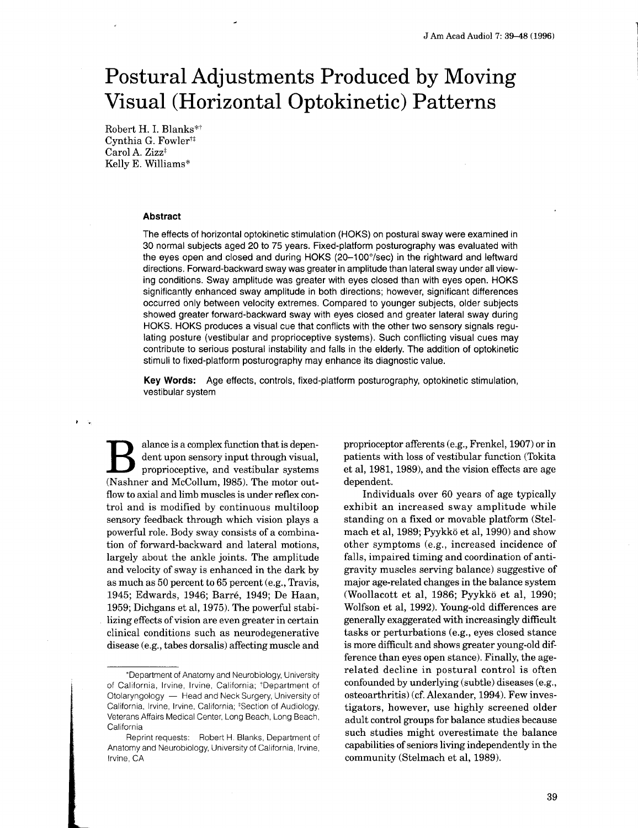# Postural Adjustments Produced by Moving Visual (Horizontal Optokinetic) Patterns

Robert H. I. Blanks\*t Cynthia G. Fowler<sup> $\ddagger\ddagger$ </sup> Carol A. Zizz<sup>‡</sup> Kelly E. Williams\*

### Abstract

The effects of horizontal optokinetic stimulation (HOKS) on postural sway were examined in 30 normal subjects aged 20 to 75 years. Fixed-platform posturography was evaluated with the eyes open and closed and during HOKS (20-100°/sec) in the rightward and leftward directions . Forward-backward sway was greater in amplitude than lateral sway under all viewing conditions. Sway amplitude was greater with eyes closed than with eyes open. HOKS significantly enhanced sway amplitude in both directions; however, significant differences occurred only between velocity extremes . Compared to younger subjects, older subjects showed greater forward-backward sway with eyes closed and greater lateral sway during HOKS. HOKS produces a visual cue that conflicts with the other two sensory signals regulating posture (vestibular and proprioceptive systems). Such conflicting visual cues may contribute to serious postural instability and falls in the elderly. The addition of optokinetic stimuli to fixed-platform posturography may enhance its diagnostic value.

Key Words: Age effects, controls, fixed-platform posturography, optokinetic stimulation, vestibular system

B alance is a complex function that is dependent upon sensory input through visual, proprioceptive, and vestibular systems (Nashner and McCollum, 1985). The motor out-<br>flow to axial and limb muscles is under reflex conalance is a complex function that is dependent upon sensory input through visual, proprioceptive, and vestibular systems flow to axial and limb muscles is under reflex control and is modified by continuous multiloop sensory feedback through which vision plays a powerful role . Body sway consists of a combination of forward-backward and lateral motions, largely about the ankle joints. The amplitude and velocity of sway is enhanced in the dark by as much as 50 percent to 65 percent (e.g., Travis, 1945; Edwards, 1946; Barre, 1949; De Haan, 1959; Dichgans et al, 1975). The powerful stabilizing effects of vision are even greater in certain clinical conditions such as neurodegenerative disease (e .g., tabes dorsalis) affecting muscle and

proprioceptor afferents (e.g., Frenkel, 1907) or in patients with loss of vestibular function (Tokita et al, 1981, 1989), and the vision effects are age dependent.

Individuals over 60 years of age typically exhibit an increased sway amplitude while standing on a fixed or movable platform (Stelmach et al, 1989; Pyykkö et al, 1990) and show other symptoms (e .g., increased incidence of falls, impaired timing and coordination of antigravity muscles serving balance) suggestive of major age-related changes in the balance system (Woollacott et al, 1986; Pyykkö et al, 1990; Wolfson et al, 1992). Young-old differences are generally exaggerated with increasingly difficult tasks or perturbations (e.g., eyes closed stance) is more difficult and shows greater young-old difference than eyes open stance). Finally, the agerelated decline in postural control is often confounded by underlying (subtle) diseases (e .g ., osteoarthritis) (cf. Alexander, 1994). Few investigators, however, use highly screened older adult control groups for balance studies because such studies might overestimate the balance capabilities of seniors living independently in the community (Stelmach et al, 1989).

<sup>&</sup>quot;Department of Anatomy and Neurobiology, University of California, Irvine, Irvine, California; <sup>+</sup>Department of Otolaryngology - Head and Neck Surgery, University of California, Irvine, Irvine, California; <sup>‡</sup>Section of Audiology, Veterans Affairs Medical Center, Long Beach, Long Beach, California

Reprint requests: Robert H. Blanks, Department of Anatomy and Neurobiology, University of California, Irvine, Irvine, CA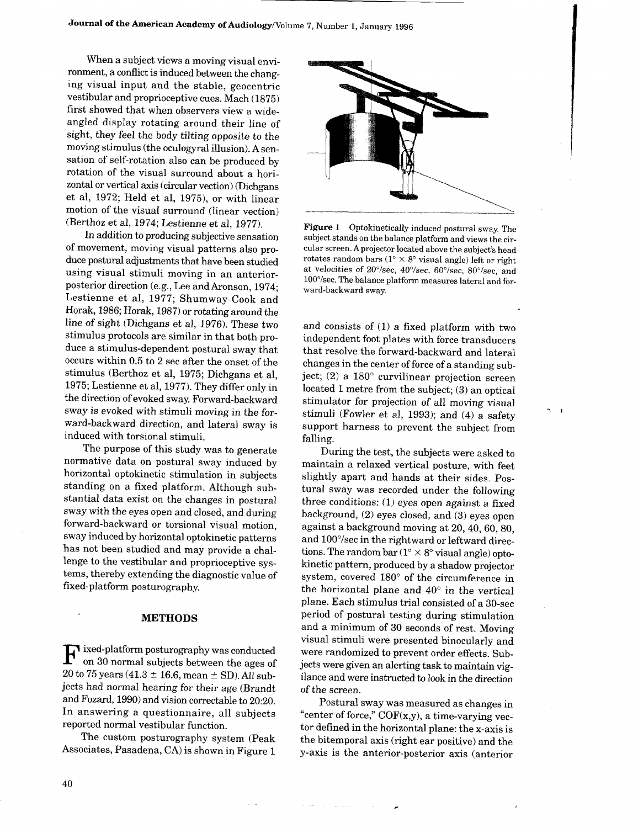When a subject views a moving visual environment, a conflict is induced between the changing visual input and the stable, geocentric vestibular and proprioceptive cues. Mach (1875) first showed that when observers view a wideangled display rotating around their line of sight, they feel the body tilting opposite to the moving stimulus (the oculogyral illusion). A sensation of self-rotation also can be produced by rotation of the visual surround about a horizontal or vertical axis (circular vection) (Dichgans et al, 1972; Held et al, 1975), or with linear motion of the visual surround (linear vection) (Berthoz et al, 1974; Lestienne et al, 1977).

In addition to producing subjective sensation of movement, moving visual patterns also produce postural adjustments that have been studied using visual stimuli moving in an anteriorposterior direction (e.g., Lee and Aronson, 1974; Lestienne et al, 1977; Shumway-Cook and Horak, 1986; Horak, 1987) or rotating around the line of sight (Dichgans et al, 1976). These two stimulus protocols are similar in that both produce a stimulus-dependent postural sway that occurs within 0.5 to 2 sec after the onset of the stimulus (Berthoz et al, 1975; Dichgans et al, 1975; Lestienne et al, 1977). They differ only in the direction of evoked sway. Forward-backward sway is evoked with stimuli moving in the forward-backward direction, and lateral sway is induced with torsional stimuli.

The purpose of this study was to generate normative data on postural sway induced by horizontal optokinetic stimulation in subjects standing on a fixed platform. Although substantial data exist on the changes in postural sway with the eyes open and closed, and during forward-backward or torsional visual motion, sway induced by horizontal optokinetic patterns has not been studied and may provide a challenge to the vestibular and proprioceptive systems, thereby extending the diagnostic value of fixed-platform posturography.

#### METHODS

 $\mathbf{F} \stackrel{\text{ixed-platform posturography was conducted}}{\text{on 30 normal subjects between the ages of}} 20 \text{ to } 75 \text{ years } (41.3 \pm 16.6 \text{, mean } \pm \text{ SD}).$  All subon 30 normal subjects between the ages of 20 to 75 years (41.3  $\pm$  16.6, mean  $\pm$  SD). All subjects had normal hearing for their age (Brandt and Fozard, 1990) and vision correctable to 20:20. In answering a questionnaire, all subjects reported normal vestibular function.

The custom posturography system (Peak Associates, Pasadena, CA) is shown in Figure 1



Figure 1 Optokinetically induced postural sway. The subject stands on the balance platform and views the circular screen . A projector located above the subject's head rotates random bars  $(1^{\circ} \times 8^{\circ}$  visual angle) left or right at velocities of 20°/sec, 40°/sec, 60°/sec, 80°/sec, and 100°/sec . The balance platform measures lateral and forward-backward sway.

and consists of (1) a fixed platform with two independent foot plates with force transducers that resolve the forward-backward and lateral changes in the center of force of a standing subject; (2) a  $180^\circ$  curvilinear projection screen located 1 metre from the subject; (3) an optical stimulator for projection of all moving visual stimuli (Fowler et al, 1993); and (4) a safety support harness to prevent the subject from falling.

 $\overline{1}$ 

During the test, the subjects were asked to maintain a relaxed vertical posture, with feet slightly apart and hands at their sides. Postural sway was recorded under the following three conditions:  $(1)$  eyes open against a fixed background, (2) eyes closed, and (3) eyes open against a background moving at 20, 40, 60, 80, and 100°/sec in the rightward or leftward directions. The random bar  $(1^{\circ} \times 8^{\circ}$  visual angle) optokinetic pattern, produced by a shadow projector system, covered 180° of the circumference in the horizontal plane and 40° in the vertical plane. Each stimulus trial consisted of a 30-sec period of postural testing during stimulation and a minimum of 30 seconds of rest. Moving visual stimuli were presented binocularly and were randomized to prevent order effects. Subjects were given an alerting task to maintain vigilance and were instructed to look in the direction of the screen.

Postural sway was measured as changes in "center of force," COF(x,y), a time-varying vector defined in the horizontal plane: the x-axis is the bitemporal axis (right ear positive) and the y-axis is the anterior-posterior axis (anterior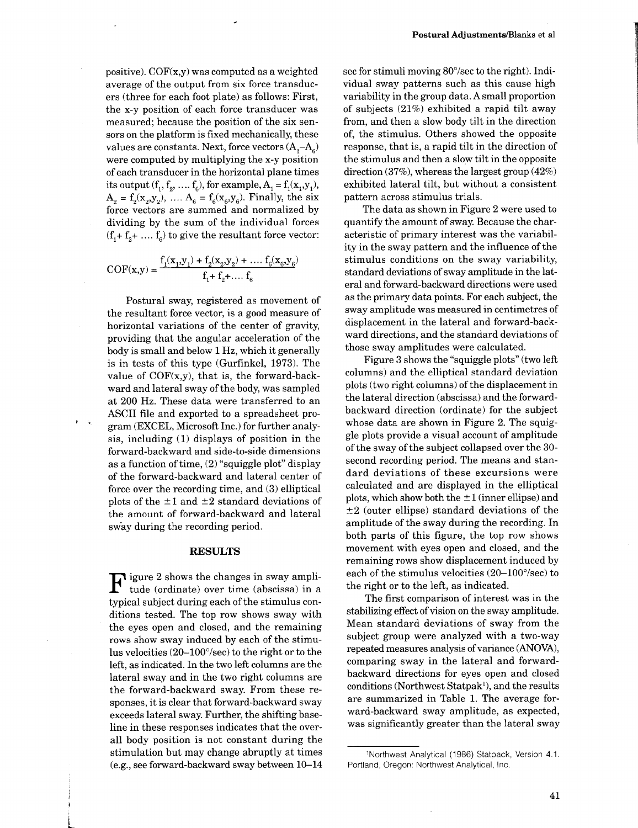positive).  $COF(x,y)$  was computed as a weighted average of the output from six force transducers (three for each foot plate) as follows: First, the x-y position of each force transducer was measured; because the position of the six sensors on the platform is fixed mechanically, these values are constants. Next, force vectors  $(A, -A<sub>c</sub>)$ were computed by multiplying the x-y position of each transducer in the horizontal plane times its output  $(f_1, f_2, ..., f_6)$ , for example,  $A_1 = f_1(x_1, y_1)$ ,  $A_2 = f_2(x_2, y_2), \ldots, A_6 = f_6(x_6, y_6)$ . Finally, the six force vectors are summed and normalized by dividing by the sum of the individual forces  $(f_1 + f_2 + \ldots + f_6)$  to give the resultant force vector:

$$
COF(x,y) = \frac{f_1(x_1, y_1) + f_2(x_2, y_2) + \dots + f_6(x_6, y_6)}{f_1 + f_2 + \dots + f_6}
$$

Postural sway, registered as movement of the resultant force vector, is a good measure of horizontal variations of the center of gravity, providing that the angular acceleration of the body is small and below 1 Hz, which it generally is in tests of this type (Gurfinkel, 1973). The value of  $COF(x,y)$ , that is, the forward-backward and lateral sway of the body, was sampled at 200 Hz. These data were transferred to an ASCII file and exported to a spreadsheet program (EXCEL, Microsoft Inc.) for further analysis, including (1) displays of position in the forward-backward and side-to-side dimensions as a function of time, (2) "squiggle plot" display of the forward-backward and lateral center of force over the recording time, and (3) elliptical plots of the  $\pm 1$  and  $\pm 2$  standard deviations of the amount of forward-backward and lateral sway during the recording period.

## **RESULTS**

 $\mathbf{F}$  igure 2 shows the changes in sway amplitude (ordinate) over time (abscissa) in a typical subject during each of the stimulus contude (ordinate) over time (abscissa) in a typical subject during each of the stimulus conditions tested. The top row shows sway with the eyes open and closed, and the remaining rows show sway induced by each of the stimulus velocities (20-100°/sec) to the right or to the left, as indicated. In the two left columns are the lateral sway and in the two right columns are the forward-backward sway. From these responses, it is clear that forward-backward sway exceeds lateral sway. Further, the shifting baseline in these responses indicates that the overall body position is not constant during the stimulation but may change abruptly at times (e .g., see forward-backward sway between 10-14

sec for stimuli moving  $80^{\circ}/sec$  to the right). Individual sway patterns such as this cause high variability in the group data. A small proportion of subjects (21%) exhibited a rapid tilt away from, and then a slow body tilt in the direction of, the stimulus. Others showed the opposite response, that is, a rapid tilt in the direction of the stimulus and then a slow tilt in the opposite direction (37%), whereas the largest group (42%) exhibited lateral tilt, but without a consistent pattern across stimulus trials .

The data as shown in Figure 2 were used to quantify the amount of sway. Because the characteristic of primary interest was the variability in the sway pattern and the influence of the stimulus conditions on the sway variability, standard deviations of sway amplitude in the lateral and forward-backward directions were used as the primary data points. For each subject, the sway amplitude was measured in centimetres of displacement in the lateral and forward-backward directions, and the standard deviations of those sway amplitudes were calculated.

Figure 3 shows the "squiggle plots" (two left columns) and the elliptical standard deviation plots (two right columns) of the displacement in the lateral direction (abscissa) and the forwardbackward direction (ordinate) for the subject whose data are shown in Figure 2. The squiggle plots provide a visual account of amplitude of the sway of the subject collapsed over the 30 second recording period. The means and standard deviations of these excursions were calculated and are displayed in the elliptical plots, which show both the  $\pm 1$  (inner ellipse) and  $\pm 2$  (outer ellipse) standard deviations of the amplitude of the sway during the recording. In both parts of this figure, the top row shows movement with eyes open and closed, and the remaining rows show displacement induced by each of the stimulus velocities (20-100°/sec) to the right or to the left, as indicated.

The first comparison of interest was in the stabilizing effect of vision on the sway amplitude. Mean standard deviations of sway from the subject group were analyzed with a two-way repeated measures analysis of variance (ANOVA), comparing sway in the lateral and forwardbackward directions for eyes open and closed conditions (Northwest Statpak<sup>1</sup>), and the results are summarized in Table 1. The average forward-backward sway amplitude, as expected, was significantly greater than the lateral sway

<sup>&#</sup>x27;Northwest Analytical (1986) Statpack, Version 4.1 . Portland, Oregon: Northwest Analytical, Inc.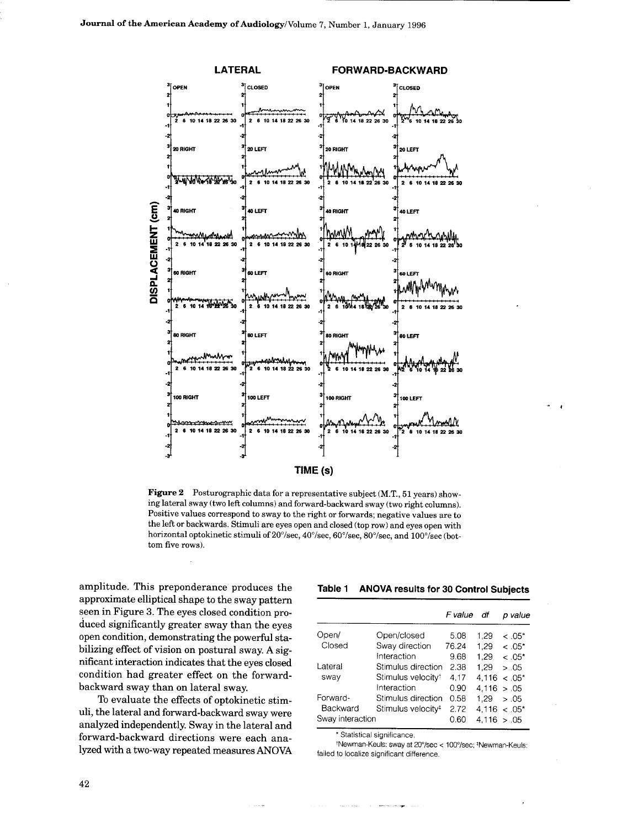

Figure 2 Posturographic data for a representative subject (M.T., 51 years) showing lateral sway (two left columns) and forward-backward sway (two right columns). Positive values correspond to sway to the right or forwards; negative values are to the left or backwards . Stimuli are eyes open and closed (top row) and eyes open with horizontal optokinetic stimuli of 20°/sec, 40°/sec, 60°/sec, 80°/sec, and 100°/sec (bottom five rows).

amplitude. This preponderance produces the approximate elliptical shape to the sway pattern seen in Figure 3. The eyes closed condition produced significantly greater sway than the eyes open condition, demonstrating the powerful stabilizing effect of vision on postural sway. A significant interaction indicates that the eyes closed condition had greater effect on the forwardbackward sway than on lateral sway.

To evaluate the effects of optokinetic stimuli, the lateral and forward-backward sway were analyzed independently. Sway in the lateral and forward-backward directions were each ana-<br>
\* Statistical significance, lyzed with a two-way repeated measures ANOVA failed to localize significant difference.

# Table 1 ANOVA results for 30 Control Subjects

|                  |                                | F value | df           | p value            |
|------------------|--------------------------------|---------|--------------|--------------------|
| Open/            | Open/closed                    | 5.08    | 1.29         | $~<.05*$           |
| Closed           | Sway direction                 | 76.24   | 1.29         | $<.05*$            |
|                  | Interaction                    | 9.68    | 1.29         | $<.05*$            |
| Lateral          | Stimulus direction             | 2.38    | 1.29         | > .05              |
| sway             | Stimulus velocity <sup>t</sup> | 4.17    | 4.116        | $<.05*$            |
|                  | Interaction                    | 0.90    | 4.116 > 0.05 |                    |
| Forward-         | Stimulus direction             | 0.58    | 1.29         | > .05              |
| Backward         | Stimulus velocity <sup>#</sup> | 2.72    |              | $4.116 \div .05^*$ |
| Sway interaction |                                | 0.60    | 4.116        | > .05              |

<sup>t</sup>Newman-Keuls: sway at 20°/sec < 100°/sec; \*Newman-Keuls: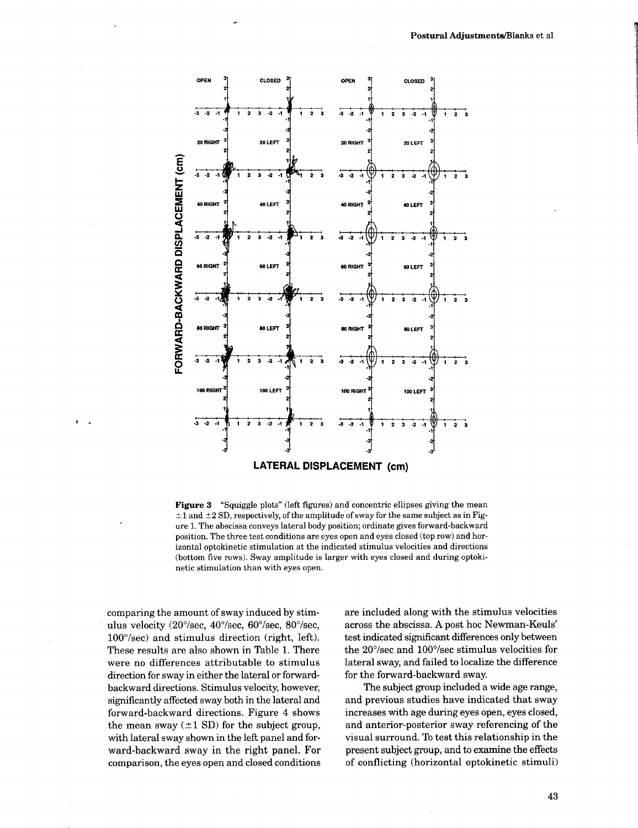

Figure 3 "Squiggle plots" (left figures) and concentric ellipses giving the mean  $\pm 1$  and  $\pm 2$  SD, respectively, of the amplitude of sway for the same subject as in Figure 1. The abscissa conveys lateral body position; ordinate gives forward-backward position . The three test conditions are eyes open and eyes closed (top row) and horizontal optokinetic stimulation at the indicated stimulus velocities and directions (bottom five rows). Sway amplitude is larger with eyes closed and during optokinetic stimulation than with eyes open .

comparing the amount of sway induced by stimulus velocity (20°/sec, 40°/sec, 60°/sec, 80°/sec, 100°/sec) and stimulus direction (right, left). These results are also shown in Table 1. There were no differences attributable to stimulus direction for sway in either the lateral or forwardbackward directions . Stimulus velocity, however, significantly affected sway both in the lateral and forward-backward directions . Figure 4 shows the mean sway  $(\pm 1 \text{ SD})$  for the subject group, with lateral sway shown in the left panel and forward-backward sway in the right panel. For comparison, the eyes open and closed conditions are included along with the stimulus velocities across the abscissa. A post hoc Newman-Keuls' test indicated significant differences only between the 20°/sec and 100°/sec stimulus velocities for lateral sway, and failed to localize the difference for the forward-backward sway.

The subject group included a wide age range, and previous studies have indicated that sway increases with age during eyes open, eyes closed, and anterior-posterior sway referencing of the visual surround. To test this relationship in the present subject group, and to examine the effects of conflicting (horizontal optokinetic stimuli)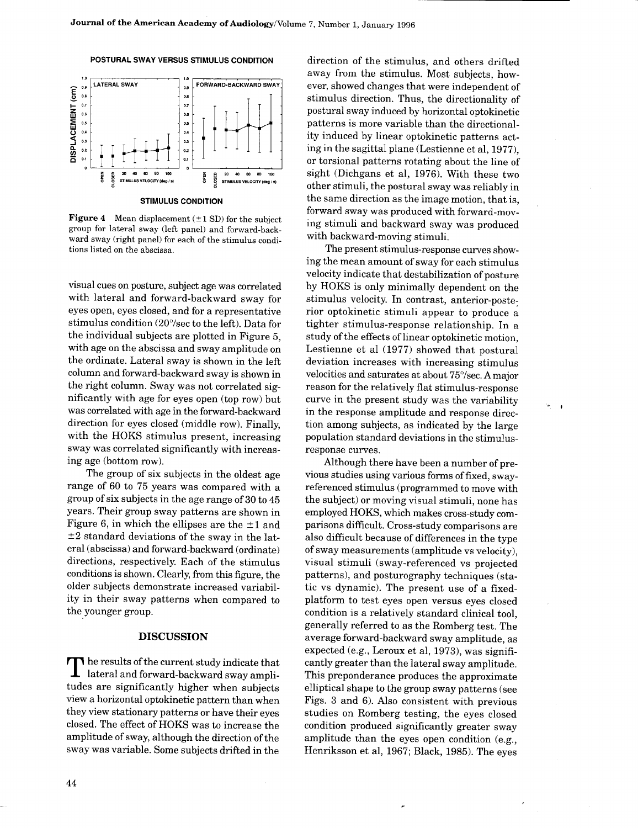



STIMULUS CONDITION

**Figure 4** Mean displacement  $(\pm 1 \text{ SD})$  for the subject group for lateral sway (left panel) and forward-backward sway (right panel) for each of the stimulus conditions listed on the abscissa .

visual cues on posture, subject age was correlated with lateral and forward-backward sway for eyes open, eyes closed, and for a representative stimulus condition (20°/sec to the left). Data for the individual subjects are plotted in Figure 5, with age on the abscissa and sway amplitude on the ordinate. Lateral sway is shown in the left column and forward-backward sway is shown in the right column. Sway was not correlated significantly with age for eyes open (top row) but was correlated with age in the forward-backward direction for eyes closed (middle row). Finally, with the HOKS stimulus present, increasing sway was correlated significantly with increasing age (bottom row).

The group of six subjects in the oldest age range of 60 to 75 years was compared with a group of six subjects in the age range of 30 to 45 years. Their group sway patterns are shown in Figure 6, in which the ellipses are the  $\pm 1$  and  $\pm 2$  standard deviations of the sway in the lateral (abscissa) and forward-backward (ordinate) directions, respectively. Each of the stimulus conditions is shown. Clearly, from this figure, the older subjects demonstrate increased variability in their sway patterns when compared to the younger group.

# DISCUSSION

The results of the current study indicate that<br>
lateral and forward-backward sway ampli-<br>
tudes are significantly higher when subjects tudes are significantly higher when subjects view a horizontal optokinetic pattern than when they view stationary patterns or have their eyes closed . The effect of HOKS was to increase the amplitude of sway, although the direction of the sway was variable. Some subjects drifted in the

direction of the stimulus, and others drifted away from the stimulus. Most subjects, however, showed changes that were independent of stimulus direction. Thus, the directionality of postural sway induced by horizontal optokinetic patterns is more variable than the directionality induced by linear optokinetic patterns acting in the sagittal plane (Lestienne et al, 1977), or torsional patterns rotating about the line of sight (Dichgans et al, 1976). With these two other stimuli, the postural sway was reliably in the same direction as the image motion, that is, forward sway was produced with forward-moving stimuli and backward sway was produced with backward-moving stimuli.

The present stimulus-response curves showing the mean amount of sway for each stimulus velocity indicate that destabilization of posture by HOKS is only minimally dependent on the stimulus velocity. In contrast, anterior-posterior optokinetic stimuli appear to produce a tighter stimulus-response relationship. In a study of the effects of linear optokinetic motion, Lestienne et al (1977) showed that postural deviation increases with increasing stimulus velocities and saturates at about 75°/sec. A major reason for the relatively flat stimulus-response curve in the present study was the variability in the response amplitude and response direction among subjects, as indicated by the large population standard deviations in the stimulusresponse curves.

 $\bullet$ 

Although there have been a number of previous studies using various forms of fixed, swayreferenced stimulus (programmed to move with the subject) or moving visual stimuli, none has employed HOKS, which makes cross-study comparisons difficult. Cross-study comparisons are also difficult because of differences in the type of sway measurements (amplitude vs velocity), visual stimuli (sway-referenced vs projected patterns), and posturography techniques (static vs dynamic). The present use of a fixedplatform to test eyes open versus eyes closed condition is a relatively standard clinical tool, generally referred to as the Romberg test . The average forward-backward sway amplitude, as expected (e.g., Leroux et al, 1973), was significantly greater than the lateral sway amplitude. This preponderance produces the approximate elliptical shape to the group sway patterns (see Figs. 3 and 6) . Also consistent with previous studies on Romberg testing, the eyes closed condition produced significantly greater sway amplitude than the eyes open condition  $(e.g.,)$ Henriksson et al, 1967; Black, 1985). The eyes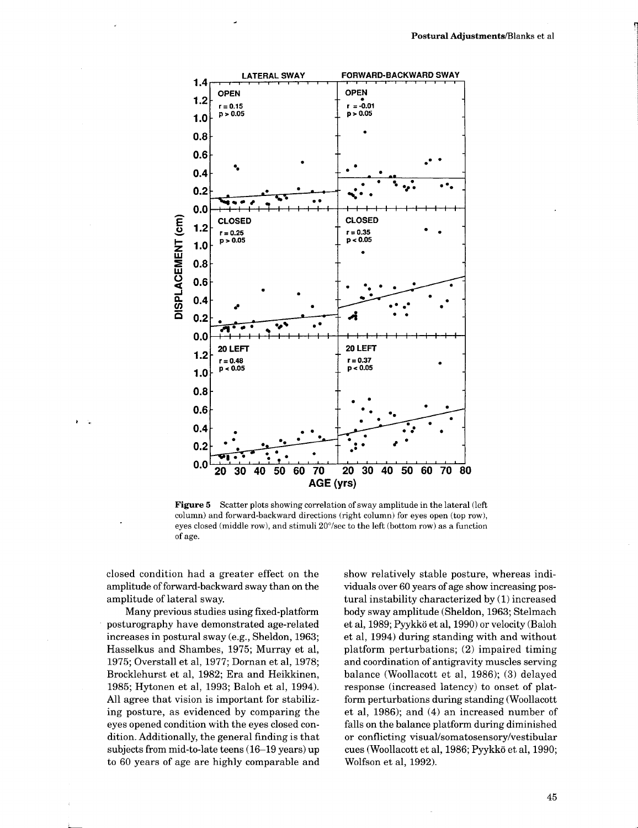

Figure 5 Scatter plots showing correlation of sway amplitude in the lateral (left column) and forward-backward directions (right column) for eyes open (top row), eyes closed (middle row), and stimuli 20°/sec to the left (bottom row) as a function of age.

closed condition had a greater effect on the amplitude of forward-backward sway than on the amplitude of lateral sway.

Many previous studies using fixed-platform posturography have demonstrated age-related increases in postural sway (e.g., Sheldon, 1963; Hasselkus and Shambes, 1975; Murray et al, 1975; Overstall et al, 1977; Dornan et al, 1978; Brocklehurst et al, 1982; Era and Heikkinen, 1985 ; Hytonen et al, 1993 ; Baloh et al, 1994). All agree that vision is important for stabilizing posture, as evidenced by comparing the eyes opened condition with the eyes closed condition . Additionally, the general finding is that subjects from mid-to-late teens (16-19 years) up to 60 years of age are highly comparable and

show relatively stable posture, whereas individuals over 60 years of age show increasing postural instability characterized by (1) increased body sway amplitude (Sheldon, 1963; Stelmach et al, 1989; Pyykkd et al, 1990) or velocity (Baloh et al, 1994) during standing with and without platform perturbations; (2) impaired timing and coordination of antigravity muscles serving balance (Woollacott et al, 1986); (3) delayed response (increased latency) to onset of platform perturbations during standing (Woollacott et al, 1986); and (4) an increased number of falls on the balance platform during diminished or conflicting visual/somatosensory/vestibular cues (Woollacott et al, 1986; Pyykkö et al, 1990; Wolfson et al, 1992).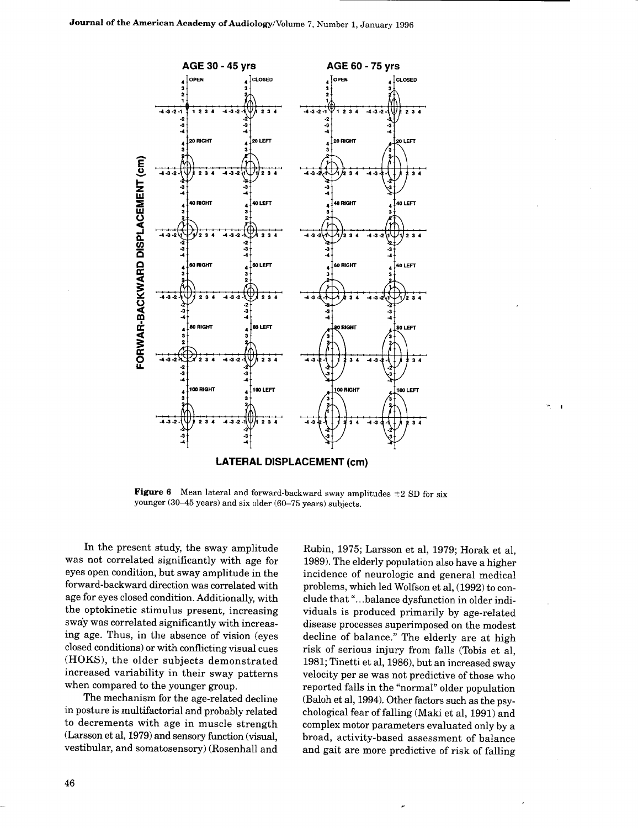

**Figure 6** Mean lateral and forward-backward sway amplitudes  $\pm 2$  SD for six younger (30-45 years) and six older (60-75 years) subjects.

In the present study, the sway amplitude was not correlated significantly with age for eyes open condition, but sway amplitude in the forward-backward direction was correlated with age for eyes closed condition. Additionally, with the optokinetic stimulus present, increasing sway was correlated significantly with increasing age. Thus, in the absence of vision (eyes) closed conditions) or with conflicting visual cues (HOKS), the older subjects demonstrated increased variability in their sway patterns when compared to the younger group.

The mechanism for the age-related decline in posture is multifactorial and probably related to decrements with age in muscle strength (Larsson et al, 1979) and sensory function (visual, vestibular, and somatosensory) (Rosenhall and

Rubin, 1975; Larsson et al, 1979; Horak et al, 1989). The elderly population also have a higher incidence of neurologic and general medical problems, which led Wolfson et al, (1992) to conclude that ". . .balance dysfunction in older individuals is produced primarily by age-related disease processes superimposed on the modest decline of balance." The elderly are at high risk of serious injury from falls (Tobis et al, 1981; Tinetti et al, 1986), but an increased sway velocity per se was not predictive of those who reported falls in the "normal" older population (Baloh et al, 1994). Other factors such as the psychological fear of falling (Maki et al, 1991) and complex motor parameters evaluated only by a broad, activity-based assessment of balance and gait are more predictive of risk of falling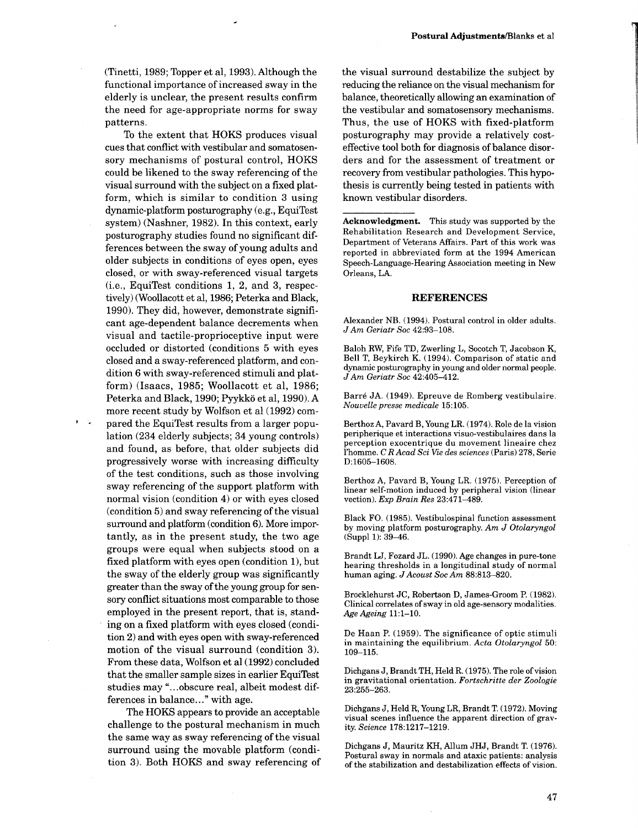To the extent that HOKS produces visual cues that conflict with vestibular and somatosensory mechanisms of postural control, HOKS could be likened to the sway referencing of the visual surround with the subject on a fixed platform, which is similar to condition 3 using dynamic-platform posturography (e .g ., EquiTest system) (Nashner, 1982). In this context, early posturography studies found no significant differences between the sway of young adults and older subjects in conditions of eyes open, eyes closed, or with sway-referenced visual targets  $(i.e., EquiTest conditions 1, 2, and 3, respectively)$ tively) (Woollacott et al, 1986; Peterka and Black, 1990). They did, however, demonstrate significant age-dependent balance decrements when visual and tactile-proprioceptive input were occluded or distorted (conditions 5 with eyes closed and a sway-referenced platform, and condition 6 with sway-referenced stimuli and platform) (Isaacs, 1985; Woollacott et al, 1986; Peterka and Black, 1990; Pyykkö et al, 1990). A more recent study by Wolfson et al (1992) com-

pared the EquiTest results from a larger population (234 elderly subjects; 34 young controls) and found, as before, that older subjects did progressively worse with increasing difficulty of the test conditions, such as those involving sway referencing of the support platform with normal vision (condition 4) or with eyes closed (condition 5) and sway referencing of the visual surround and platform (condition 6). More importantly, as in the present study, the two age groups were equal when subjects stood on a fixed platform with eyes open (condition 1), but the sway of the elderly group was significantly greater than the sway of the young group for sensory conflict situations most comparable to those employed in the present report, that is, standing on a fixed platform with eyes closed (condition 2) and with eyes open with sway-referenced motion of the visual surround (condition 3). From these data, Wolfson et al (1992) concluded that the smaller sample sizes in earlier EquiTest studies may "...obscure real, albeit modest differences in balance..." with age.

The HOKS appears to provide an acceptable challenge to the postural mechanism in much the same way as sway referencing of the visual surround using the movable platform (condition 3). Both HOKS and sway referencing of the visual surround destabilize the subject by reducing the reliance on the visual mechanism for balance, theoretically allowing an examination of the vestibular and somatosensory mechanisms . Thus, the use of HOKS with fixed-platform posturography may provide a relatively costeffective tool both for diagnosis of balance disorders and for the assessment of treatment or recovery from vestibular pathologies. This hypothesis is currently being tested in patients with known vestibular disorders.

Acknowledgment. This study was supported by the Rehabilitation Research and Development Service, Department of Veterans Affairs. Part of this work was reported in abbreviated form at the 1994 American Speech-Language-Hearing Association meeting in New Orleans, LA.

#### REFERENCES

Alexander NB. (1994). Postural control in older adults. J Am Geriatr Soc 42:93-108.

Baloh RW, Fife TD, Zwerling L, Socotch T, Jacobson K, Bell T, Beykirch K. (1994) . Comparison of static and dynamic posturography in young and older normal people. J Am Geriatr Soc 42 :405-412 .

Barré JA. (1949). Epreuve de Romberg vestibulaire. Nouvelle presse medicale 15 :105 .

BerthozA, Pavard B, Young LR. (1974). Role de la vision peripherique et interactions visuo-vestibulaires dans la perception exocentrique du movement lineaire chez 1'homme. C R Acad Sci Vie des sciences (Paris) 278, Serie D:1605-1608.

Berthoz A, Pavard B, Young LR. (1975). Perception of linear self-motion induced by peripheral vision (linear vection). Exp Brain Res 23:471-489.

Black FO. (1985). Vestibulospinal function assessment by moving platform posturography. Am J Otolaryngol  $(Suppl 1): 39–46.$ 

Brandt LJ, Fozard JL. (1990) . Age changes in pure-tone hearing thresholds in a longitudinal study of normal human aging. J Acoust Soc Am 88:813-820.

Brocklehurst JC, Robertson D, James-Groom P. (1982). Clinical correlates of sway in old age-sensory modalities . Age Ageing 11:1-10.

De Haan P. (1959). The significance of optic stimuli in maintaining the equilibrium. Acta Otolaryngol 50: 109-115.

Dichgans J, Brandt TH, Held R. (1975). The role of vision in gravitational orientation. Fortschritte der Zoologie 23 :255-263 .

Dichgans J, Held R, Young LR, Brandt T. (1972) . Moving visual scenes influence the apparent direction of gravity. Science 178:1217-1219 .

Dichgans J, Mauritz KH, Allum JHJ, Brandt T. (1976). Postural sway in normals and ataxic patients: analysis of the stabilization and destabilization effects of vision .